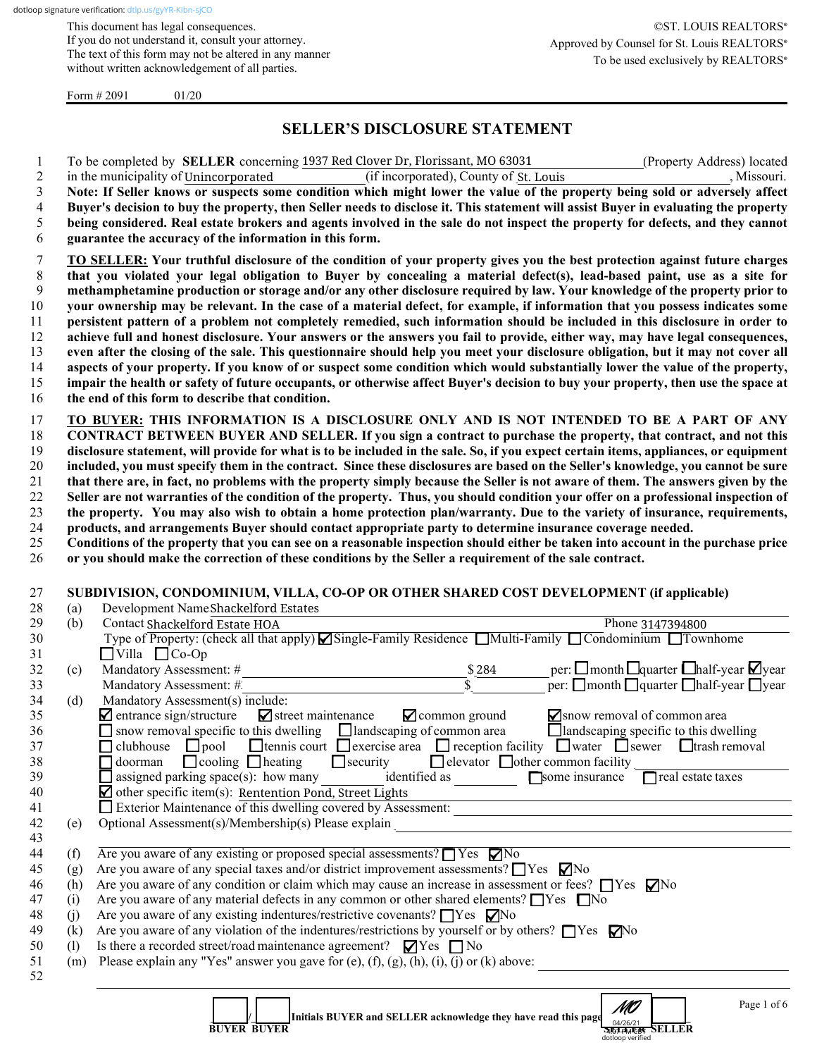This document has legal consequences. If you do not understand it, consult your attorney. The text of this form may not be altered in any manner without written acknowledgement of all parties.

Form  $\# 2091$  01/20

## **SELLER'S DISCLOSURE STATEMENT**

1 To be completed by **SELLER** concerning 1937 Red Clover Dr, Florissant, MO 63031 (Property Address) located

| $\overline{c}$                                                                         |            | in the municipality of Unincorporated                                                                                                                                       | (if incorporated), County of St. Louis       |                                                                                                                                                     | , Missouri. |
|----------------------------------------------------------------------------------------|------------|-----------------------------------------------------------------------------------------------------------------------------------------------------------------------------|----------------------------------------------|-----------------------------------------------------------------------------------------------------------------------------------------------------|-------------|
| 3                                                                                      |            | Note: If Seller knows or suspects some condition which might lower the value of the property being sold or adversely affect                                                 |                                              |                                                                                                                                                     |             |
| 4                                                                                      |            | Buyer's decision to buy the property, then Seller needs to disclose it. This statement will assist Buyer in evaluating the property                                         |                                              |                                                                                                                                                     |             |
| 5                                                                                      |            | being considered. Real estate brokers and agents involved in the sale do not inspect the property for defects, and they cannot                                              |                                              |                                                                                                                                                     |             |
| 6                                                                                      |            | guarantee the accuracy of the information in this form.                                                                                                                     |                                              |                                                                                                                                                     |             |
| 7                                                                                      |            | TO SELLER: Your truthful disclosure of the condition of your property gives you the best protection against future charges                                                  |                                              |                                                                                                                                                     |             |
| $8\phantom{.}$                                                                         |            | that you violated your legal obligation to Buyer by concealing a material defect(s), lead-based paint, use as a site for                                                    |                                              |                                                                                                                                                     |             |
| 9                                                                                      |            | methamphetamine production or storage and/or any other disclosure required by law. Your knowledge of the property prior to                                                  |                                              |                                                                                                                                                     |             |
| $10\,$                                                                                 |            | your ownership may be relevant. In the case of a material defect, for example, if information that you possess indicates some                                               |                                              |                                                                                                                                                     |             |
| 11                                                                                     |            | persistent pattern of a problem not completely remedied, such information should be included in this disclosure in order to                                                 |                                              |                                                                                                                                                     |             |
| 12                                                                                     |            | achieve full and honest disclosure. Your answers or the answers you fail to provide, either way, may have legal consequences,                                               |                                              |                                                                                                                                                     |             |
| 13                                                                                     |            | even after the closing of the sale. This questionnaire should help you meet your disclosure obligation, but it may not cover all                                            |                                              |                                                                                                                                                     |             |
| 14                                                                                     |            | aspects of your property. If you know of or suspect some condition which would substantially lower the value of the property,                                               |                                              |                                                                                                                                                     |             |
| 15                                                                                     |            | impair the health or safety of future occupants, or otherwise affect Buyer's decision to buy your property, then use the space at                                           |                                              |                                                                                                                                                     |             |
| 16                                                                                     |            | the end of this form to describe that condition.                                                                                                                            |                                              |                                                                                                                                                     |             |
| 17                                                                                     |            | TO BUYER: THIS INFORMATION IS A DISCLOSURE ONLY AND IS NOT INTENDED TO BE A PART OF ANY                                                                                     |                                              |                                                                                                                                                     |             |
| 18                                                                                     |            | CONTRACT BETWEEN BUYER AND SELLER. If you sign a contract to purchase the property, that contract, and not this                                                             |                                              |                                                                                                                                                     |             |
| 19                                                                                     |            | disclosure statement, will provide for what is to be included in the sale. So, if you expect certain items, appliances, or equipment                                        |                                              |                                                                                                                                                     |             |
| 20                                                                                     |            | included, you must specify them in the contract. Since these disclosures are based on the Seller's knowledge, you cannot be sure                                            |                                              |                                                                                                                                                     |             |
| 21                                                                                     |            | that there are, in fact, no problems with the property simply because the Seller is not aware of them. The answers given by the                                             |                                              |                                                                                                                                                     |             |
| 22                                                                                     |            | Seller are not warranties of the condition of the property. Thus, you should condition your offer on a professional inspection of                                           |                                              |                                                                                                                                                     |             |
| 23                                                                                     |            | the property. You may also wish to obtain a home protection plan/warranty. Due to the variety of insurance, requirements,                                                   |                                              |                                                                                                                                                     |             |
| 24                                                                                     |            | products, and arrangements Buyer should contact appropriate party to determine insurance coverage needed.                                                                   |                                              |                                                                                                                                                     |             |
| 25                                                                                     |            | Conditions of the property that you can see on a reasonable inspection should either be taken into account in the purchase price                                            |                                              |                                                                                                                                                     |             |
| 26                                                                                     |            | or you should make the correction of these conditions by the Seller a requirement of the sale contract.                                                                     |                                              |                                                                                                                                                     |             |
| 28<br>29<br>30                                                                         | (a)<br>(b) | Development NameShackelford Estates<br>Contact Shackelford Estate HOA<br>Type of Property: (check all that apply) Single-Family Residence Multi-Family Condominium Townhome |                                              | Phone 3147394800                                                                                                                                    |             |
| 31                                                                                     |            | $\Box$ Villa $\Box$ Co-Op                                                                                                                                                   |                                              |                                                                                                                                                     |             |
| 32<br>33                                                                               | (c)        | Mandatory Assessment: #<br>Mandatory Assessment: #                                                                                                                          | $-\frac{$284}{$\frac{284}{8}}$               | per: $\square$ month $\square$ quarter $\square$ half-year $\square$ year<br>$\Gamma$ per: $\Box$ month $\Box$ quarter $\Box$ half-year $\Box$ year |             |
| 34                                                                                     | (d)        | Mandatory Assessment(s) include:                                                                                                                                            |                                              |                                                                                                                                                     |             |
| 35                                                                                     |            | $\blacksquare$ entrance sign/structure<br>$\blacksquare$ street maintenance                                                                                                 | $\blacksquare$ common ground                 | Snow removal of common area                                                                                                                         |             |
| 36                                                                                     |            | snow removal specific to this dwelling                                                                                                                                      | Ilandscaping of common area                  | $\Box$ landscaping specific to this dwelling                                                                                                        |             |
| 37                                                                                     |            | $\Box$ clubhouse<br>$\Box$ pool                                                                                                                                             |                                              | □ tennis court □ exercise area □ reception facility □ water □ sewer □ trash removal                                                                 |             |
|                                                                                        |            |                                                                                                                                                                             |                                              |                                                                                                                                                     |             |
|                                                                                        |            |                                                                                                                                                                             |                                              |                                                                                                                                                     |             |
|                                                                                        |            | $\Box$ doorman<br>$\Box$ cooling $\Box$ heating<br>$\Box$ security                                                                                                          | $\Box$ elevator $\Box$ other common facility |                                                                                                                                                     |             |
|                                                                                        |            | $\Box$ assigned parking space(s): how many                                                                                                                                  | identified as                                | Some insurance<br>$\Box$ real estate taxes                                                                                                          |             |
|                                                                                        |            | $\blacksquare$ other specific item(s): Rentention Pond, Street Lights                                                                                                       |                                              |                                                                                                                                                     |             |
|                                                                                        |            | Exterior Maintenance of this dwelling covered by Assessment:                                                                                                                |                                              |                                                                                                                                                     |             |
|                                                                                        | (e)        |                                                                                                                                                                             |                                              |                                                                                                                                                     |             |
|                                                                                        | (f)        | Are you aware of any existing or proposed special assessments? $\Box$ Yes $\nabla$ No                                                                                       |                                              |                                                                                                                                                     |             |
|                                                                                        | (g)        | Are you aware of any special taxes and/or district improvement assessments? $\Box$ Yes $\nabla$ No                                                                          |                                              |                                                                                                                                                     |             |
|                                                                                        | (h)        | Are you aware of any condition or claim which may cause an increase in assessment or fees? $\Box$ Yes $\nabla$ No                                                           |                                              |                                                                                                                                                     |             |
|                                                                                        | (i)        | Are you aware of any material defects in any common or other shared elements? $\Box$ Yes $\Box$ No                                                                          |                                              |                                                                                                                                                     |             |
|                                                                                        | (j)        | Are you aware of any existing indentures/restrictive covenants? □ Yes ■ No                                                                                                  |                                              |                                                                                                                                                     |             |
|                                                                                        | (k)        | Are you aware of any violation of the indentures/restrictions by yourself or by others? $\Box$ Yes $\Box$ Yo                                                                |                                              |                                                                                                                                                     |             |
|                                                                                        | (1)        | Is there a recorded street/road maintenance agreement? $\Box$ Yes $\Box$ No                                                                                                 |                                              |                                                                                                                                                     |             |
|                                                                                        | (m)        | Please explain any "Yes" answer you gave for (e), (f), (g), (h), (i), (j) or (k) above:                                                                                     |                                              |                                                                                                                                                     |             |
| 38<br>39<br>40<br>41<br>42<br>43<br>44<br>45<br>46<br>47<br>48<br>49<br>50<br>51<br>52 |            |                                                                                                                                                                             |                                              |                                                                                                                                                     |             |

dotloop verified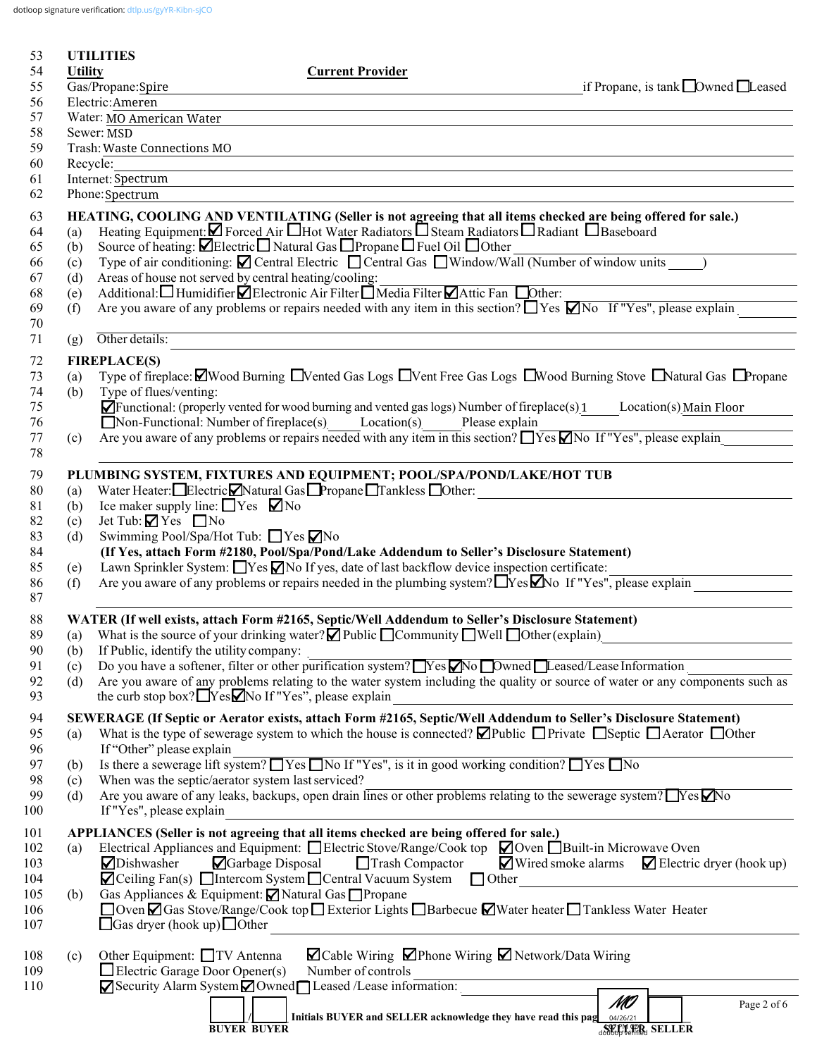dotloop signature verification: [dtlp.us/gyYR-Kibn-sjCO](https://dtlp.us/gyYR-Kibn-sjCO)

| 53         |                | <b>UTILITIES</b>                                                 |                    |                                                                                                                                                                                           |                                                                                                                                                                                                                               |                                                                           |
|------------|----------------|------------------------------------------------------------------|--------------------|-------------------------------------------------------------------------------------------------------------------------------------------------------------------------------------------|-------------------------------------------------------------------------------------------------------------------------------------------------------------------------------------------------------------------------------|---------------------------------------------------------------------------|
| 54         | <b>Utility</b> |                                                                  |                    | <b>Current Provider</b>                                                                                                                                                                   |                                                                                                                                                                                                                               |                                                                           |
| 55         |                | Gas/Propane:Spire                                                |                    |                                                                                                                                                                                           |                                                                                                                                                                                                                               | if Propane, is tank $\Box$ Owned $\Box$ Leased                            |
| 56         |                | Electric:Ameren                                                  |                    |                                                                                                                                                                                           |                                                                                                                                                                                                                               |                                                                           |
| 57<br>58   |                | Water: MO American Water<br>Sewer: MSD                           |                    |                                                                                                                                                                                           |                                                                                                                                                                                                                               |                                                                           |
| 59         |                | Trash: Waste Connections MO                                      |                    |                                                                                                                                                                                           |                                                                                                                                                                                                                               |                                                                           |
| 60         | Recycle:       |                                                                  |                    |                                                                                                                                                                                           |                                                                                                                                                                                                                               |                                                                           |
| 61         |                | Internet: Spectrum                                               |                    |                                                                                                                                                                                           | the control of the control of the control of the control of the control of the control of the control of the control of the control of the control of the control of the control of the control of the control of the control |                                                                           |
| 62         |                | Phone: Spectrum                                                  |                    |                                                                                                                                                                                           |                                                                                                                                                                                                                               |                                                                           |
| 63         |                |                                                                  |                    | HEATING, COOLING AND VENTILATING (Seller is not agreeing that all items checked are being offered for sale.)                                                                              |                                                                                                                                                                                                                               |                                                                           |
| 64         | (a)            |                                                                  |                    | Heating Equipment: Z Forced Air Hot Water Radiators D Steam Radiators D Radiant D Baseboard                                                                                               |                                                                                                                                                                                                                               |                                                                           |
| 65         | (b)            |                                                                  |                    | Source of heating: <b>ØElectric</b> Natural Gas <b>□</b> Propane □ Fuel Oil □ Other                                                                                                       |                                                                                                                                                                                                                               |                                                                           |
| 66         | (c)            |                                                                  |                    | Type of air conditioning: $\blacksquare$ Central Electric $\blacksquare$ Central Gas $\blacksquare$ Window/Wall (Number of window units )                                                 |                                                                                                                                                                                                                               |                                                                           |
| 67         | (d)            | Areas of house not served by central heating/cooling:            |                    |                                                                                                                                                                                           |                                                                                                                                                                                                                               |                                                                           |
| 68         | (e)            |                                                                  |                    | Additional: Humidifier <i>D</i> Electronic Air Filter DMedia Filter DAttic Fan DOther:                                                                                                    |                                                                                                                                                                                                                               |                                                                           |
| 69         | (f)            |                                                                  |                    | Are you aware of any problems or repairs needed with any item in this section? TYes Mo If "Yes", please explain                                                                           |                                                                                                                                                                                                                               |                                                                           |
| 70         |                |                                                                  |                    |                                                                                                                                                                                           |                                                                                                                                                                                                                               |                                                                           |
| 71         | (g)            | Other details:                                                   |                    |                                                                                                                                                                                           |                                                                                                                                                                                                                               |                                                                           |
| 72         |                | <b>FIREPLACE(S)</b>                                              |                    |                                                                                                                                                                                           |                                                                                                                                                                                                                               |                                                                           |
| 73         | (a)            |                                                                  |                    | Type of fireplace: $\Box$ Wood Burning $\Box$ Vented Gas Logs $\Box$ Vent Free Gas Logs $\Box$ Wood Burning Stove $\Box$ Natural Gas $\Box$ Propane                                       |                                                                                                                                                                                                                               |                                                                           |
| 74         | (b)            | Type of flues/venting:                                           |                    |                                                                                                                                                                                           |                                                                                                                                                                                                                               |                                                                           |
| 75         |                |                                                                  |                    | $\blacktriangleright$ Functional: (properly vented for wood burning and vented gas logs) Number of fireplace(s) 1 Location(s) Main Floor                                                  |                                                                                                                                                                                                                               |                                                                           |
| 76         |                |                                                                  |                    | $\Box$ Non-Functional: Number of fireplace(s) Location(s)<br>Are you aware of any problems or repairs needed with any item in this section? $\Box$ Yes $\Box$ No If "Yes", please explain | Please explain                                                                                                                                                                                                                |                                                                           |
| 77<br>78   | (c)            |                                                                  |                    |                                                                                                                                                                                           |                                                                                                                                                                                                                               |                                                                           |
|            |                |                                                                  |                    |                                                                                                                                                                                           |                                                                                                                                                                                                                               |                                                                           |
| 79         |                |                                                                  |                    | PLUMBING SYSTEM, FIXTURES AND EQUIPMENT; POOL/SPA/POND/LAKE/HOT TUB<br>Water Heater: Electric Natural Gas Propane Tankless Other:                                                         |                                                                                                                                                                                                                               |                                                                           |
| 80<br>81   | (a)<br>(b)     | Ice maker supply line: $\Box$ Yes $\nabla$ No                    |                    |                                                                                                                                                                                           |                                                                                                                                                                                                                               |                                                                           |
| 82         | (c)            | Jet Tub: $\Box$ Yes $\Box$ No                                    |                    |                                                                                                                                                                                           |                                                                                                                                                                                                                               |                                                                           |
| 83         | (d)            | Swimming Pool/Spa/Hot Tub: ■ Yes ■ No                            |                    |                                                                                                                                                                                           |                                                                                                                                                                                                                               |                                                                           |
| 84         |                |                                                                  |                    | (If Yes, attach Form #2180, Pool/Spa/Pond/Lake Addendum to Seller's Disclosure Statement)                                                                                                 |                                                                                                                                                                                                                               |                                                                           |
| 85         | (e)            |                                                                  |                    | Lawn Sprinkler System: $\Box$ Yes $\Box$ No If yes, date of last backflow device inspection certificate:                                                                                  |                                                                                                                                                                                                                               |                                                                           |
| 86         | (f)            |                                                                  |                    | Are you aware of any problems or repairs needed in the plumbing system? TYes Mo If "Yes", please explain                                                                                  |                                                                                                                                                                                                                               |                                                                           |
| 87         |                |                                                                  |                    |                                                                                                                                                                                           |                                                                                                                                                                                                                               |                                                                           |
| 88         |                |                                                                  |                    | WATER (If well exists, attach Form #2165, Septic/Well Addendum to Seller's Disclosure Statement)                                                                                          |                                                                                                                                                                                                                               |                                                                           |
| 89         |                |                                                                  |                    | (a) What is the source of your drinking water? $\Box$ Public $\Box$ Community $\Box$ Well $\Box$ Other (explain)                                                                          |                                                                                                                                                                                                                               |                                                                           |
| 90         | (b)            | If Public, identify the utility company:                         |                    |                                                                                                                                                                                           |                                                                                                                                                                                                                               |                                                                           |
| 91         | (c)            |                                                                  |                    | Do you have a softener, filter or other purification system? Nes No Dwned Leased/Lease Information                                                                                        |                                                                                                                                                                                                                               |                                                                           |
| 92         | (d)            |                                                                  |                    | Are you aware of any problems relating to the water system including the quality or source of water or any components such as                                                             |                                                                                                                                                                                                                               |                                                                           |
| 93         |                | the curb stop box? $\Box$ Yes $\Box$ No If "Yes", please explain |                    |                                                                                                                                                                                           |                                                                                                                                                                                                                               |                                                                           |
| 94         |                |                                                                  |                    | SEWERAGE (If Septic or Aerator exists, attach Form #2165, Septic/Well Addendum to Seller's Disclosure Statement)                                                                          |                                                                                                                                                                                                                               |                                                                           |
| 95         | (a)            |                                                                  |                    | What is the type of sewerage system to which the house is connected? $\Box$ Public $\Box$ Private $\Box$ Septic $\Box$ Aerator $\Box$ Other                                               |                                                                                                                                                                                                                               |                                                                           |
| 96         |                | If "Other" please explain                                        |                    |                                                                                                                                                                                           |                                                                                                                                                                                                                               |                                                                           |
| 97         | (b)            |                                                                  |                    | Is there a sewerage lift system? $\Box$ Yes $\Box$ No If "Yes", is it in good working condition? $\Box$ Yes $\Box$ No                                                                     |                                                                                                                                                                                                                               |                                                                           |
| 98         | (c)            | When was the septic/aerator system last serviced?                |                    |                                                                                                                                                                                           |                                                                                                                                                                                                                               |                                                                           |
| 99         | (d)            |                                                                  |                    | Are you aware of any leaks, backups, open drain lines or other problems relating to the sewerage system? $\Box$ Yes $\Box$ No                                                             |                                                                                                                                                                                                                               |                                                                           |
| 100        |                | If "Yes", please explain                                         |                    |                                                                                                                                                                                           |                                                                                                                                                                                                                               |                                                                           |
| 101        |                |                                                                  |                    | APPLIANCES (Seller is not agreeing that all items checked are being offered for sale.)                                                                                                    |                                                                                                                                                                                                                               |                                                                           |
| 102        | (a)            |                                                                  |                    | Electrical Appliances and Equipment: $\Box$ Electric Stove/Range/Cook top $\Box$ Oven $\Box$ Built-in Microwave Oven                                                                      |                                                                                                                                                                                                                               |                                                                           |
| 103        |                | Dishwasher                                                       | Garbage Disposal   | $\Box$ Trash Compactor                                                                                                                                                                    |                                                                                                                                                                                                                               | $\blacksquare$ Wired smoke alarms $\blacksquare$ Electric dryer (hook up) |
| 104<br>105 |                | Gas Appliances & Equipment: ⊠ Natural Gas □ Propane              |                    | $\blacksquare$ Ceiling Fan(s) $\blacksquare$ Intercom System $\blacksquare$ Central Vacuum System $\blacksquare$ Other                                                                    |                                                                                                                                                                                                                               |                                                                           |
| 106        | (b)            |                                                                  |                    | □ Oven Ø Gas Stove/Range/Cook top □ Exterior Lights □ Barbecue Ø Water heater □ Tankless Water Heater                                                                                     |                                                                                                                                                                                                                               |                                                                           |
| 107        |                | $\Box$ Gas dryer (hook up) $\Box$ Other                          |                    |                                                                                                                                                                                           |                                                                                                                                                                                                                               |                                                                           |
|            |                |                                                                  |                    |                                                                                                                                                                                           |                                                                                                                                                                                                                               |                                                                           |
| 108        | (c)            | Other Equipment: □ TV Antenna                                    |                    | <b>Z</b> Cable Wiring ∠Phone Wiring ∠ Network/Data Wiring                                                                                                                                 |                                                                                                                                                                                                                               |                                                                           |
| 109        |                | $\Box$ Electric Garage Door Opener(s)                            |                    | Number of controls                                                                                                                                                                        |                                                                                                                                                                                                                               |                                                                           |
| 110        |                |                                                                  |                    | Security Alarm System Owned Leased /Lease information:                                                                                                                                    |                                                                                                                                                                                                                               |                                                                           |
|            |                |                                                                  |                    |                                                                                                                                                                                           | MO                                                                                                                                                                                                                            | Page 2 of 6                                                               |
|            |                |                                                                  | <b>BUYER BUYER</b> | Initials BUYER and SELLER acknowledge they have read this pag 04/26/21                                                                                                                    |                                                                                                                                                                                                                               | <b>SELLER</b> SELLER                                                      |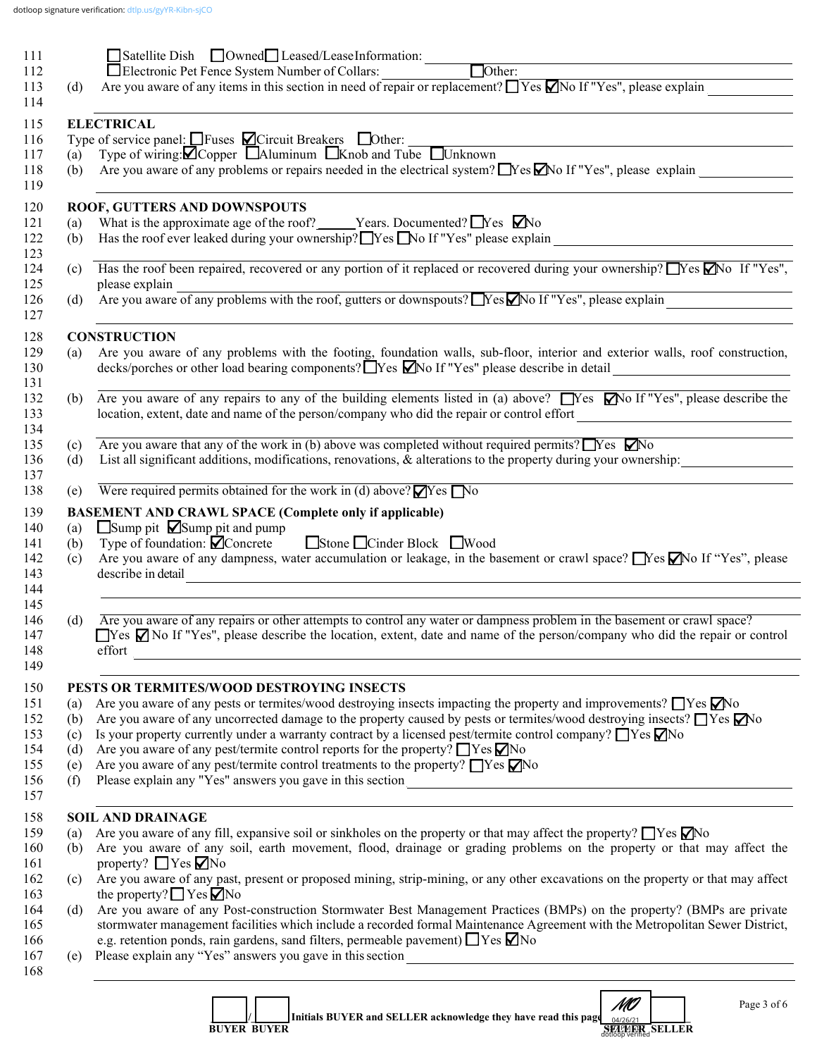| 111               |            |                                                                                                                                                                                                                             |
|-------------------|------------|-----------------------------------------------------------------------------------------------------------------------------------------------------------------------------------------------------------------------------|
| 112               |            |                                                                                                                                                                                                                             |
| 113               | (d)        | Are you aware of any items in this section in need of repair or replacement? $\Box$ Yes $\Box$ No If "Yes", please explain $\Box$                                                                                           |
| 114               |            |                                                                                                                                                                                                                             |
| 115               |            | <b>ELECTRICAL</b>                                                                                                                                                                                                           |
| 116               |            | Type of service panel: $\Box$ Fuses $\Box$ Circuit Breakers $\Box$ Other:<br>(a) Type of wiring: $\Box$ Copper $\Box$ Aluminum $\Box$ Knob and Tube $\Box$ Unknown                                                          |
| 117               | (b)        | Are you aware of any problems or repairs needed in the electrical system? $\Box$ Yes $\Box$ No If "Yes", please explain                                                                                                     |
| 118<br>119        |            |                                                                                                                                                                                                                             |
|                   |            | ROOF, GUTTERS AND DOWNSPOUTS                                                                                                                                                                                                |
| 120<br>121        | (a)        | What is the approximate age of the roof? _____Years. Documented? $\Box$ Yes $\Box$ No                                                                                                                                       |
| 122               | (b)        | Has the roof ever leaked during your ownership? Yes No If "Yes" please explain _______________________________                                                                                                              |
| 123               |            |                                                                                                                                                                                                                             |
| 124               |            | (c) Has the roof been repaired, recovered or any portion of it replaced or recovered during your ownership? $\Box$ Yes $\Box$ No If "Yes",                                                                                  |
| 125               |            | please explain<br>please explain<br>(d) Are you aware of any problems with the roof, gutters or downspouts? No If "Yes", please explain                                                                                     |
| 126               |            |                                                                                                                                                                                                                             |
| 127               |            | ,我们也不会有什么。""我们的人,我们也不会有什么?""我们的人,我们也不会有什么?""我们的人,我们的人,我们的人,我们的人,我们的人,我们的人,我们的人,我                                                                                                                                            |
| 128               |            | <b>CONSTRUCTION</b>                                                                                                                                                                                                         |
| 129<br>130<br>131 | (a)        | Are you aware of any problems with the footing, foundation walls, sub-floor, interior and exterior walls, roof construction,<br>decks/porches or other load bearing components? TYes MNo If "Yes" please describe in detail |
| 132               |            | (b) Are you aware of any repairs to any of the building elements listed in (a) above? Nes Mo If "Yes", please describe the                                                                                                  |
| 133               |            | location, extent, date and name of the person/company who did the repair or control effort                                                                                                                                  |
| 134               |            |                                                                                                                                                                                                                             |
| 135               | (c)        | Are you aware that any of the work in (b) above was completed without required permits? $\Box$ Yes $\Box$ No                                                                                                                |
| 136               | (d)        | List all significant additions, modifications, renovations, & alterations to the property during your ownership:                                                                                                            |
| 137<br>138        | (e)        | Were required permits obtained for the work in (d) above? $\blacksquare$ Yes $\blacksquare$ No                                                                                                                              |
|                   |            |                                                                                                                                                                                                                             |
| 139<br>140        |            | <b>BASEMENT AND CRAWL SPACE (Complete only if applicable)</b><br>$\Box$ Sump pit $\Box$ Sump pit and pump                                                                                                                   |
| 141               | (a)<br>(b) | Type of foundation: $\dot{Q}$ Concrete Stone □ Cinder Block ■ Wood                                                                                                                                                          |
| 142               | (c)        | Are you aware of any dampness, water accumulation or leakage, in the basement or crawl space? No If "Yes", please                                                                                                           |
| 143               |            | describe in detail<br><u> 1989 - Johann Stein, mars an deutscher Stein († 1989)</u>                                                                                                                                         |
| 144               |            |                                                                                                                                                                                                                             |
| 145               |            |                                                                                                                                                                                                                             |
| 146               | (d)        | Are you aware of any repairs or other attempts to control any water or dampness problem in the basement or crawl space?                                                                                                     |
| 147               |            | □Yes ØNo If "Yes", please describe the location, extent, date and name of the person/company who did the repair or control                                                                                                  |
| 148<br>149        |            | effort<br><u> 1989 - Johann Stoff, deutscher Stoff, der Stoff, der Stoff, der Stoff, der Stoff, der Stoff, der Stoff, der S</u>                                                                                             |
|                   |            |                                                                                                                                                                                                                             |
| 150<br>151        |            | PESTS OR TERMITES/WOOD DESTROYING INSECTS<br>Are you aware of any pests or termites/wood destroying insects impacting the property and improvements? TYes No                                                                |
| 152               | (a)<br>(b) | Are you aware of any uncorrected damage to the property caused by pests or termites/wood destroying insects? $\Box$ Yes $\Box$ No                                                                                           |
| 153               | (c)        | Is your property currently under a warranty contract by a licensed pest/termite control company? $\Box$ Yes $\Box$ No                                                                                                       |
| 154               | (d)        | Are you aware of any pest/termite control reports for the property? $\Box$ Yes $\nabla$ No                                                                                                                                  |
| 155               | (e)        | Are you aware of any pest/termite control treatments to the property? $\Box$ Yes $\nabla$ No                                                                                                                                |
| 156               | (f)        | Please explain any "Yes" answers you gave in this section<br><u> 1989 - Johann Stoff, deutscher Stoffen und der Stoffen und der Stoffen und der Stoffen und der Stoffen und de</u>                                          |
| 157               |            |                                                                                                                                                                                                                             |
| 158               |            | <b>SOIL AND DRAINAGE</b>                                                                                                                                                                                                    |
| 159               | (a)        | Are you aware of any fill, expansive soil or sinkholes on the property or that may affect the property? $\Box$ Yes $\Box$ No                                                                                                |
| 160               | (b)        | Are you aware of any soil, earth movement, flood, drainage or grading problems on the property or that may affect the                                                                                                       |
| 161               |            | property? $\Box$ Yes $\nabla$ No                                                                                                                                                                                            |
| 162               | (c)        | Are you aware of any past, present or proposed mining, strip-mining, or any other excavations on the property or that may affect<br>the property? $\Box$ Yes $\Box$ No                                                      |
| 163<br>164        | (d)        | Are you aware of any Post-construction Stormwater Best Management Practices (BMPs) on the property? (BMPs are private                                                                                                       |
| 165               |            | stormwater management facilities which include a recorded formal Maintenance Agreement with the Metropolitan Sewer District,                                                                                                |
| 166               |            | e.g. retention ponds, rain gardens, sand filters, permeable pavement) TYes Mo                                                                                                                                               |
| 167               | (e)        |                                                                                                                                                                                                                             |
| 168               |            |                                                                                                                                                                                                                             |
|                   |            |                                                                                                                                                                                                                             |
|                   |            | Initials DIIVED and SEI I ED asknowledge they have read this<br>MO<br>Page 3 of 6                                                                                                                                           |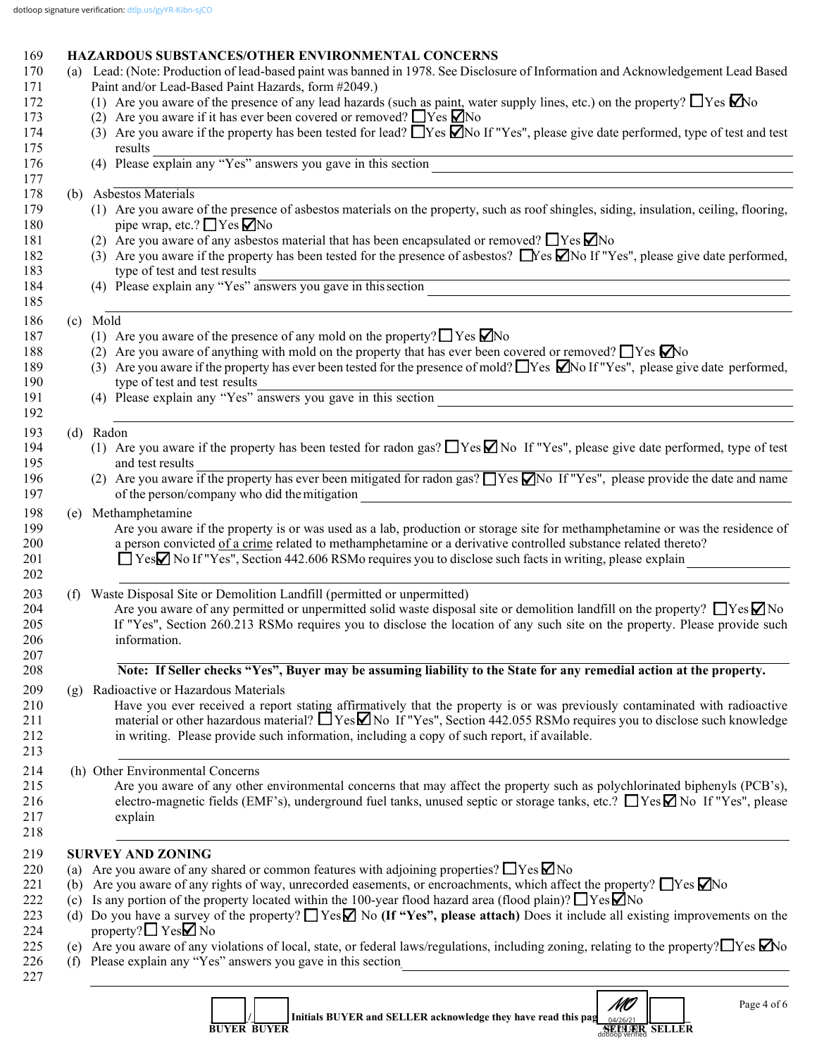# 169 **HAZARDOUS SUBSTANCES/OTHER ENVIRONMENTAL CONCERNS**<br>170 (a) Lead: (Note: Production of lead-based naint was banned in 1978, See Disclose

|     | (a) Lead: (Note: Production of lead-based paint was banned in 1978. See Disclosure of Information and Acknowledgement Lead Based<br>Paint and/or Lead-Based Paint Hazards, form #2049.)                                                                                                                            |
|-----|--------------------------------------------------------------------------------------------------------------------------------------------------------------------------------------------------------------------------------------------------------------------------------------------------------------------|
|     | (1) Are you aware of the presence of any lead hazards (such as paint, water supply lines, etc.) on the property? $\Box$ Yes $\Box$ No                                                                                                                                                                              |
|     | (2) Are you aware if it has ever been covered or removed? $\Box$ Yes $\Box$ No                                                                                                                                                                                                                                     |
|     | (3) Are you aware if the property has been tested for lead? $\Box$ Yes $\Box$ No If "Yes", please give date performed, type of test and test                                                                                                                                                                       |
|     | results                                                                                                                                                                                                                                                                                                            |
|     | (4) Please explain any "Yes" answers you gave in this section                                                                                                                                                                                                                                                      |
|     | (b) Asbestos Materials                                                                                                                                                                                                                                                                                             |
|     | (1) Are you aware of the presence of asbestos materials on the property, such as roof shingles, siding, insulation, ceiling, flooring,                                                                                                                                                                             |
|     | pipe wrap, etc.? $\Box$ Yes $\nabla$ No                                                                                                                                                                                                                                                                            |
|     | (2) Are you aware of any asbestos material that has been encapsulated or removed? $\Box$ Yes $\nabla$ No                                                                                                                                                                                                           |
|     | (3) Are you aware if the property has been tested for the presence of asbestos? $\Box$ Yes $\Box$ No If "Yes", please give date performed,                                                                                                                                                                         |
|     | type of test and test results<br>(4) Please explain any "Yes" answers you gave in this section                                                                                                                                                                                                                     |
|     | <u> 1989 - Jan Sterling Sterling (d. 1989)</u>                                                                                                                                                                                                                                                                     |
|     | (c) Mold                                                                                                                                                                                                                                                                                                           |
|     | (1) Are you aware of the presence of any mold on the property? $\Box$ Yes $\Box$ No                                                                                                                                                                                                                                |
|     | (2) Are you aware of anything with mold on the property that has ever been covered or removed? $\Box$ Yes $\Box$ No                                                                                                                                                                                                |
|     | (3) Are you aware if the property has ever been tested for the presence of mold? TYes Mo If "Yes", please give date performed,<br>type of test and test results                                                                                                                                                    |
|     | type of test and test results<br>(4) Please explain any "Yes" answers you gave in this section                                                                                                                                                                                                                     |
|     |                                                                                                                                                                                                                                                                                                                    |
|     | (d) Radon<br>(1) Are you aware if the property has been tested for radon gas? $\Box$ Yes $\Box$ No If "Yes", please give date performed, type of test                                                                                                                                                              |
|     | and test results                                                                                                                                                                                                                                                                                                   |
|     | (2) Are you aware if the property has ever been mitigated for radon gas? $\Box$ Yes $\Box$ No If "Yes", please provide the date and name<br>of the person/company who did the mitigation<br><u> 1989 - Johann Stoff, deutscher Stoffen und der Stoffen und der Stoffen und der Stoffen und der Stoffen und der</u> |
| (e) | Methamphetamine                                                                                                                                                                                                                                                                                                    |
|     | Are you aware if the property is or was used as a lab, production or storage site for methamphetamine or was the residence of                                                                                                                                                                                      |
|     | a person convicted of a crime related to methamphetamine or a derivative controlled substance related thereto?                                                                                                                                                                                                     |
|     | $\Box$ Yes $\Box$ No If "Yes", Section 442.606 RSMo requires you to disclose such facts in writing, please explain                                                                                                                                                                                                 |
|     |                                                                                                                                                                                                                                                                                                                    |
| (f) | Waste Disposal Site or Demolition Landfill (permitted or unpermitted)                                                                                                                                                                                                                                              |
|     | Are you aware of any permitted or unpermitted solid waste disposal site or demolition landfill on the property? $\Box$ Yes $\Box$ No                                                                                                                                                                               |
|     | If "Yes", Section 260.213 RSMo requires you to disclose the location of any such site on the property. Please provide such<br>information.                                                                                                                                                                         |
|     |                                                                                                                                                                                                                                                                                                                    |
|     | Note: If Seller checks "Yes", Buyer may be assuming liability to the State for any remedial action at the property.                                                                                                                                                                                                |
| (g) | Radioactive or Hazardous Materials                                                                                                                                                                                                                                                                                 |
|     | Have you ever received a report stating affirmatively that the property is or was previously contaminated with radioactive                                                                                                                                                                                         |
|     | material or other hazardous material? $\Box$ Yes $\Box$ No If "Yes", Section 442.055 RSMo requires you to disclose such knowledge                                                                                                                                                                                  |
|     | in writing. Please provide such information, including a copy of such report, if available.                                                                                                                                                                                                                        |
|     | (h) Other Environmental Concerns                                                                                                                                                                                                                                                                                   |
|     | Are you aware of any other environmental concerns that may affect the property such as polychlorinated biphenyls (PCB's),                                                                                                                                                                                          |
|     | electro-magnetic fields (EMF's), underground fuel tanks, unused septic or storage tanks, etc.? ■ Yes Mo If "Yes", please                                                                                                                                                                                           |
|     | explain                                                                                                                                                                                                                                                                                                            |
|     |                                                                                                                                                                                                                                                                                                                    |
|     | <b>SURVEY AND ZONING</b>                                                                                                                                                                                                                                                                                           |
| (a) | Are you aware of any shared or common features with adjoining properties? $\Box$ Yes $\nabla$ No                                                                                                                                                                                                                   |
| (b) | Are you aware of any rights of way, unrecorded easements, or encroachments, which affect the property? $\Box$ Yes $\Box$ No                                                                                                                                                                                        |
| (c) | Is any portion of the property located within the 100-year flood hazard area (flood plain)? $\Box$ Yes $\Box$ No                                                                                                                                                                                                   |
|     | (d) Do you have a survey of the property? $\Box$ Yes $\Box$ No (If "Yes", please attach) Does it include all existing improvements on the                                                                                                                                                                          |
|     | property? $\Box$ Yes $\Box$ No                                                                                                                                                                                                                                                                                     |
|     | (e) Are you aware of any violations of local, state, or federal laws/regulations, including zoning, relating to the property? $\Box$ Yes $\Box$ No                                                                                                                                                                 |
|     | (f) Please explain any "Yes" answers you gave in this section                                                                                                                                                                                                                                                      |
|     |                                                                                                                                                                                                                                                                                                                    |
|     | MO<br>$\epsilon$ in the contraction of $\epsilon$<br>Page 4 of 6                                                                                                                                                                                                                                                   |

|                    | Initials BUYER and SELLER acknowledge they have read this pag $_{0.4/26/21}$ [ |               |  |
|--------------------|--------------------------------------------------------------------------------|---------------|--|
| <b>BUYER BUYER</b> |                                                                                | SEPLER SELLER |  |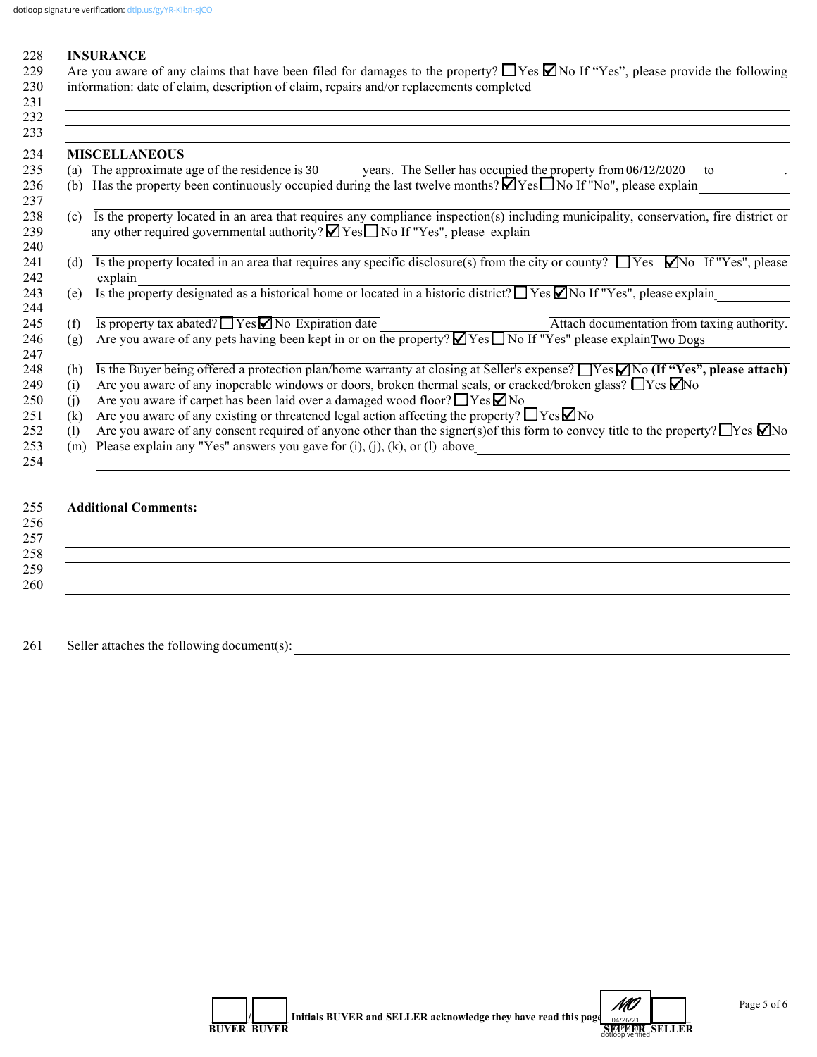#### 228 **INSURANCE**

|     | 229 Are you aware of any claims that have been filed for damages to the property? $\Box$ Yes $\Box$ No If "Yes", please provide the following |
|-----|-----------------------------------------------------------------------------------------------------------------------------------------------|
|     | 230 information: date of claim, description of claim, repairs and/or replacements completed                                                   |
| 231 |                                                                                                                                               |

|            | <b>MISCELLANEOUS</b>                                                                                                                        |
|------------|---------------------------------------------------------------------------------------------------------------------------------------------|
|            | The approximate age of the residence is 30 years. The Seller has occupied the property from 06/12/2020<br>to                                |
| (a)<br>(b) | Has the property been continuously occupied during the last twelve months? $\Box$ Yes $\Box$ No If "No", please explain                     |
|            |                                                                                                                                             |
| (c)        | Is the property located in an area that requires any compliance inspection(s) including municipality, conservation, fire district or        |
|            | any other required governmental authority? Nes No If "Yes", please explain                                                                  |
|            |                                                                                                                                             |
| (d)        | Is the property located in an area that requires any specific disclosure(s) from the city or county? $\Box$ Yes $\Box$ No If "Yes", please  |
|            | explain                                                                                                                                     |
| (e)        | Is the property designated as a historical home or located in a historic district? $\Box$ Yes $\Box$ No If "Yes", please explain            |
|            |                                                                                                                                             |
| (f)        | Is property tax abated? $\Box$ Yes $\Box$ No Expiration date<br>Attach documentation from taxing authority.                                 |
| (g)        | Are you aware of any pets having been kept in or on the property? Yes No If "Yes" please explainTwo Dogs                                    |
|            |                                                                                                                                             |
| (h)        | Is the Buyer being offered a protection plan/home warranty at closing at Seller's expense? TYes $\Box$ No (If "Yes", please attach)         |
| (i)        | Are you aware of any inoperable windows or doors, broken thermal seals, or cracked/broken glass? $\Box$ Yes $\Box$ No                       |
| (i)        | Are you aware if carpet has been laid over a damaged wood floor? $\Box$ Yes $\nabla$ No                                                     |
| (k)        | Are you aware of any existing or threatened legal action affecting the property? $\Box$ Yes $\Box$ No                                       |
| (1)        | Are you aware of any consent required of anyone other than the signer(s) of this form to convey title to the property? $\Box$ Yes $\Box$ No |
| (m)        | Please explain any "Yes" answers you gave for $(i)$ , $(j)$ , $(k)$ , or $(l)$ above                                                        |
|            |                                                                                                                                             |
|            |                                                                                                                                             |

## 255 **Additional Comments:**

## $256$  $257$ 258 \_\_\_\_\_\_\_\_\_\_\_\_\_\_\_\_\_\_\_\_\_\_\_\_\_\_\_\_\_\_\_\_\_\_\_\_\_\_\_\_\_\_\_\_\_\_\_\_\_\_\_\_\_\_\_\_\_\_\_\_\_\_\_\_\_\_\_\_\_\_\_\_\_\_\_\_\_\_\_\_\_\_\_\_\_\_\_\_\_\_\_\_\_\_\_\_\_\_\_\_\_\_\_\_\_\_\_\_  $259$   $\overline{\phantom{a}}$ 260  $\overline{\phantom{a}}$

261 Seller attaches the following document(s): \_\_\_\_\_\_\_\_\_\_\_\_\_\_\_\_\_\_\_\_\_\_\_\_\_\_\_\_\_\_\_\_\_\_\_\_\_\_\_\_\_\_\_\_\_\_\_\_\_\_\_\_\_\_\_\_\_\_\_\_\_\_\_\_\_\_\_\_\_\_\_\_\_